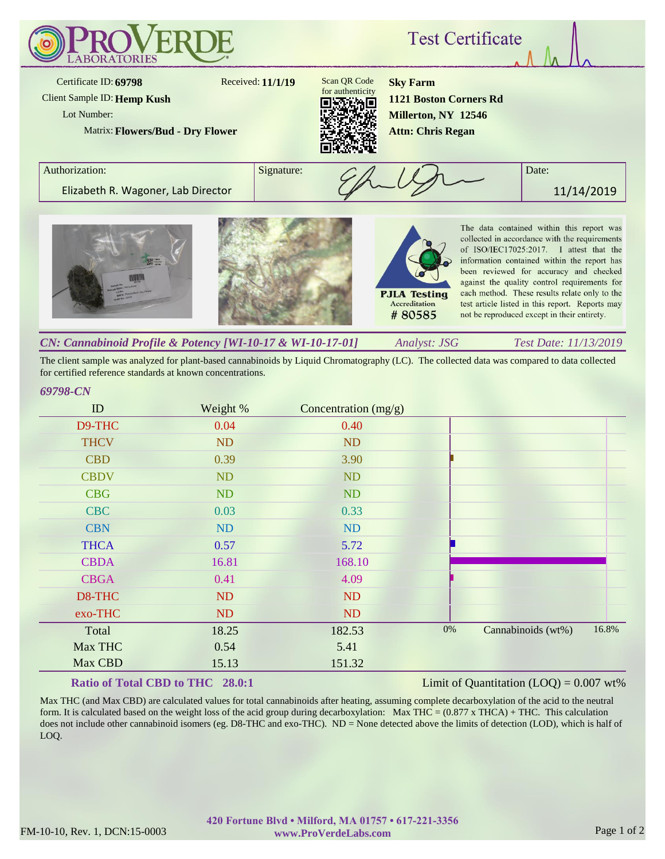

The client sample was analyzed for plant-based cannabinoids by Liquid Chromatography (LC). The collected data was compared to data collected for certified reference standards at known concentrations.

## *69798-CN*

| ID          | Weight %  | Concentration $(mg/g)$ |       |                    |       |
|-------------|-----------|------------------------|-------|--------------------|-------|
| D9-THC      | 0.04      | 0.40                   |       |                    |       |
| <b>THCV</b> | <b>ND</b> | <b>ND</b>              |       |                    |       |
| <b>CBD</b>  | 0.39      | 3.90                   |       |                    |       |
| <b>CBDV</b> | ND        | <b>ND</b>              |       |                    |       |
| <b>CBG</b>  | ND        | <b>ND</b>              |       |                    |       |
| <b>CBC</b>  | 0.03      | 0.33                   |       |                    |       |
| <b>CBN</b>  | <b>ND</b> | <b>ND</b>              |       |                    |       |
| <b>THCA</b> | 0.57      | 5.72                   |       |                    |       |
| <b>CBDA</b> | 16.81     | 168.10                 |       |                    |       |
| <b>CBGA</b> | 0.41      | 4.09                   |       |                    |       |
| D8-THC      | <b>ND</b> | <b>ND</b>              |       |                    |       |
| exo-THC     | ND        | <b>ND</b>              |       |                    |       |
| Total       | 18.25     | 182.53                 | $0\%$ | Cannabinoids (wt%) | 16.8% |
| Max THC     | 0.54      | 5.41                   |       |                    |       |
| Max CBD     | 15.13     | 151.32                 |       |                    |       |

# **Ratio of Total CBD to THC 28.0:1**

## Limit of Quantitation  $(LOQ) = 0.007$  wt%

Max THC (and Max CBD) are calculated values for total cannabinoids after heating, assuming complete decarboxylation of the acid to the neutral form. It is calculated based on the weight loss of the acid group during decarboxylation: Max THC =  $(0.877 \times THCA) + THC$ . This calculation does not include other cannabinoid isomers (eg. D8-THC and exo-THC). ND = None detected above the limits of detection (LOD), which is half of LOQ.